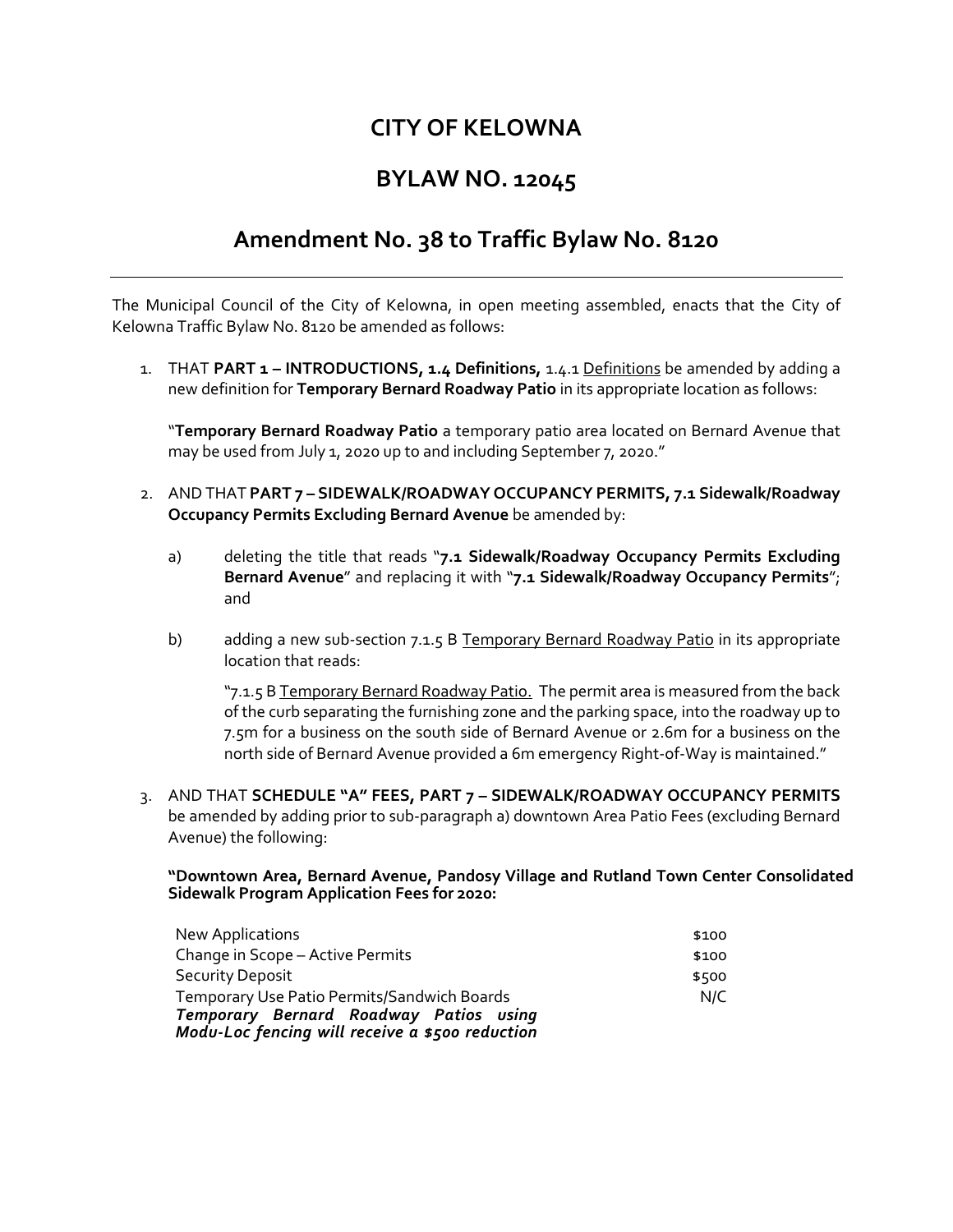## **CITY OF KELOWNA**

## **BYLAW NO. 12045**

## **Amendment No. 38 to Traffic Bylaw No. 8120**

The Municipal Council of the City of Kelowna, in open meeting assembled, enacts that the City of Kelowna Traffic Bylaw No. 8120 be amended as follows:

1. THAT **PART 1 – INTRODUCTIONS, 1.4 Definitions,** 1.4.1 Definitions be amended by adding a new definition for **Temporary Bernard Roadway Patio** in its appropriate location as follows:

"**Temporary Bernard Roadway Patio** a temporary patio area located on Bernard Avenue that may be used from July 1, 2020 up to and including September 7, 2020."

- 2. AND THAT **PART 7 – SIDEWALK/ROADWAY OCCUPANCY PERMITS, 7.1 Sidewalk/Roadway Occupancy Permits Excluding Bernard Avenue** be amended by:
	- a) deleting the title that reads "**7.1 Sidewalk/Roadway Occupancy Permits Excluding Bernard Avenue**" and replacing it with "**7.1 Sidewalk/Roadway Occupancy Permits**"; and
	- b) adding a new sub-section 7.1.5 B Temporary Bernard Roadway Patio in its appropriate location that reads:

"7.1.5 B Temporary Bernard Roadway Patio. The permit area is measured from the back of the curb separating the furnishing zone and the parking space, into the roadway up to 7.5m for a business on the south side of Bernard Avenue or 2.6m for a business on the north side of Bernard Avenue provided a 6m emergency Right-of-Way is maintained."

3. AND THAT **SCHEDULE "A" FEES, PART 7 – SIDEWALK/ROADWAY OCCUPANCY PERMITS**  be amended by adding prior to sub-paragraph a) downtown Area Patio Fees (excluding Bernard Avenue) the following:

**"Downtown Area, Bernard Avenue, Pandosy Village and Rutland Town Center Consolidated Sidewalk Program Application Fees for 2020:**

| New Applications                                   | \$100 |
|----------------------------------------------------|-------|
| Change in Scope - Active Permits                   | \$100 |
| Security Deposit                                   | \$500 |
| <b>Temporary Use Patio Permits/Sandwich Boards</b> | N/C   |
| Temporary Bernard Roadway Patios using             |       |
| Modu-Loc fencing will receive a \$500 reduction    |       |